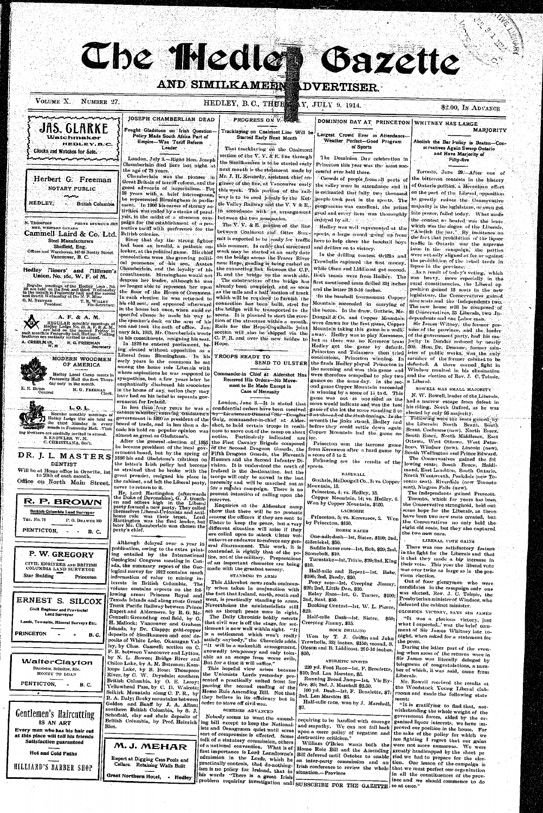AND SIMILKAMEEN

VOLUME  $X$ . NUMBER 27.

Watchmaker

menentumumementumume

Herbert G. Freeman

NOTARY PUBLIC

Cammell Laird & Co. Ltd.

**Steel Manufacturers** 

Sheffield, Eng.

Offices and Warehouse, 847-63 Beatty Street

Vancouver, B. C.

Hedley Tliners' and Tillimen's

Union, No. 161, W. F. of M.

Regular meetings of the Hedley Loca, No.<br>151 are held on the first-and third Wednesday<br>in the month in Fraternity hall and the second<br>and fourth Wednesday at the N. P. Mine

Hedloy Lodge No. 13, A. F. & A. M.<br>each month in Fraternity hall, Hedloy. Visitay in<br>brethren are cordially invited to attend.

A. F. & A. M.

REGULAR monthly moetings o

H. G. FREEMAN

**MODERN WOODMEN** 

OF AMERICA

Hodley Local Camp meets in

H. G. FREEMAN Clerk

Fraternity Hall the first Thurs

 $L, 0, L,$ 

Hedley Lodge 1744 are held on

the third Monday in every

ing brethern are cordially invited to attend.

S. KNOWLES, W. M.

DR. J. L. MASTERS

**DENTIST** 

C. CHRISTIANA, Sec't.

Regular monthly meetings of

day only in the month.

**British Columbia** 

PHONE SEYMOUR 591

T. R. WILLEY<br>Fin-Secretary

....<br>Secretary

**HEDLEY,** 

N. THOMPSON

O. M. STEVENS President

A. CREELMAN, W. M.

E. E. BURR<br>Connsel

MGR. WESTERN CANADA

Glocks and Watches for Sale.

## HEDLEY, B.C., THURSEN Y, JULY 9, 1914.

**ADVERTISER.** 

#### \$2.00, In ADVANCE

DOMINION DAY AT PRINCETON WHITNEY HAS LARGE MARJORITY

> Abolish the Bar Policy is Beaten-Conscrvatives Again Sweep Ontario and Have Marjority of Fifty-five.

Toronto, June 29.-After one of the bitterest contests in the history of Ontario politics, a Herculean effort on the part of the Liberal opposition to grently reduce the Conservative majority in the legislature, or even get into power, failed today. What made the contest so heated was the issue which was the slogan of the Liberals, "Abolish the bar." By insistence on the fact that prohibition of the liquor. traffic in Outario was the supreme issue in the campaign, the parties were not ally aligned as for or against the prolithition of the retail trade in liquoi in the prevince.

As a result of today's voting, which was heavy, more especially in the rural constituencies, the Liberal op position gained 13 seats in the new legislature, the Conservatives gained nine seats and the Independents two. The new house will be composed of 83 Conservatives, 25 Liberals, two Jndependents and one Labor man.

Sir James Witney, the former prenier of the province, and the leaderof the government party, had his majority in Dundas reduced by nearly 500. Hon Dr. Deanme, former minister of public works, was the only conclusions, Princeton winning. In ulember of the former cabinet to be the finals Hedley played Princeton in defeated. A three corned fight in Windsor resulted in his elimination were therefore compelled to play two and the election of Rev. J. C. Tolmie,

ROWELL HAS SMALL MAJORITY

N. W. Rowell, leader of the Liberals. had a narrow escape from defeat in his riding, North Oxford, as he was elected by only 98 majority.

Following were the seats gained by the Liberals: North Brant, South Brant, Cochrane (new), North Essex, South Essex, North Middlesex, East Ottawa, West Ottawa, West Peterboro, Windsor (new), Lincoln (new), South Wellington and Prince Edward. The Conservatives gained the fol lowing seats; South Bruce, Haldi-



Chamberlain died here last night at the age of 78 years.

Che fliedle

Chamberlain was the pioneer in Great Britain of tarriff reform, and the grent advocate of imperialism. For 38 years with a brief interregnum, he vepresented Birmingham in parliament. In 1906 his career of stormy activities was ended by a stroke of paralysis, in the midst of a strenous campaign for the establishment of a protective tariff with preference for the British colonies.

Since that day the strong fighter had been an invalid, a pathetic onlooker, at the political game. His chief consolations were the growing political promence of his son, Austen Chamberlain, and the loyalty of his constituents. Birmingham would not despose her leader, although he was no longer able to represent her upon the floor of the House of Commons. In each election he was returned to his old seat, and appeared afterward in the house but once, when amid respectful silence he made his way to the speaker's desk on the arm of his son and took the oath of office. Jannary 5th, 1913, Mr. Chamberlain wrote to his constituents, resigning his seat. In 1876 he entered parliament, being elected without opposition as a Liberal from Birmingham. In liis early years in the commons he sat among the home rule Liberals with whose aspirations he was supposed to sympathize, but a few years later he emphatically disabused his associates

in the house of any notion they may have had on his belief in separate government for Ireland.

In less than four years he was a cathnet minister, entering clausumes by Lieutenaut General Sir Doughts government in 1880 as president of the Gaig, commander-in-chief at Alderboard of trade, and in less than a de- shot, to hold certain troops in readicade his hold on popular opinion was ness to move out of the camp on short almost as great as Gladstons's.

After the general election of 1885

the latter's Irish policy had become

### **PROGRESS ON V. WE**

#### Tracklaying on Coalmont Line Will be Started Early Next Month

That tracklaying on the Coalmont section of the V. V.  $\&$  E. line through the Similkameen is to be started early next month is the statement made by Mr. J. H. Kennedy, assistant chief engineer of the line, at Vancouver early this week. This portion of the railway is to be used jointly by the Kettle Valley Railway and the V. V & E., in accordance with an arrangement between the two companies.

The V. V. & E. poittion of the line between Coalmont and Otter Sunmit is expected to be ready for traffic this summer. In order that structural and drillers on to victory. work may be started at an early date on the bridge across the Fraser River near Hope, grading is being rushed on the connecting link. between the C.P. R. and the bridge on the north side. already been completed, and as soon as the mile and a half section of track which will be required to furnish the connection has been built, steel for the bridge will be transported to the scene. It is planned to start the erection of the structure within a month. Rails for the Hope-Coquihalla joint section will also be shipped via the C. P. R. and over the new bridge to Hope.

#### TROOPS READY TO SEND TO ULSTER

Commander-in Chief at Aldershot Has Received His Orders-No Movement to Be Made Except in **Case of Necessity** 

London, June 3 .- It is stated that confidential orders have been received game of the lot the score standing 3 to notice. Particularly indicated are ice.

the First Cavalry Brigade composed he became president of the local gov- of the Second Dragoon Guards, the ernment board, but by the spring of Fifth Dragoon Guards, the Fleventh a score of 5 to 2. 1886 his and Gladstone's relations on Hussars and the Second Infantry Division. It is understood the

Largest Crowd Ever in Attendance-Weather Perfect-Good Program of Sports

Gazette

The Dominion Day celebration in Princeton this year was the most successful ever held there.

Crowds of people from all parts of the valley were in attendance and it is estimated that fully two thousand people took part in the sports. The programme was excellent, the prizes good and every item was thoroughly énjoyed by all. . . . .

"Hedley was well represented at the ports, a large crowd going up from here to help cheer the baseball boys

In the drilling contest Griffin and Trewhella captured the first money, while Olsen and Liddicoat got sucond. Both teams were from Hedley. The The substructure of the bridge has first mentioned team drilled 331 inches and the latter 28 9-16 inches.

> "In the baseball tournament Copper Mountain succeeded in carrying of the bacon. In the draw, Guthrie, Mc-Dougall & Co. and Copper Mountain were drawn for the first game, Copper Mountain taking this game in a walkaway. Hedley was to play Keremeos, but as there was no Kermeos team Hedley got the game by default. Princeton and Tulameen then tried the morning and won this game and games on the same day. In the sec- a Liberal. ond game Copper Mountain succeeded in winning by a score of 14 to 6. This game was not as one sided as the score would indicate and was the best 8 ab the end-of-the sixth innings. In the seventh the jinks struck Hedley and before they could settle down again Copper Mountain had the game on

Princeton won the lacrosse game from Keremeos after a hard game by

Following are the results of the

| Will be at Home office in Oroville, 1st<br>to 20th of each month. |                                                                              | so strained that he broke with the Ireland is the destionation, but the                                                                                     | <b>BASEBALL</b>                                                                     | mand, East Lambton, South Ontario,<br>North Wentworth, Parkdale (new To-                               |
|-------------------------------------------------------------------|------------------------------------------------------------------------------|-------------------------------------------------------------------------------------------------------------------------------------------------------------|-------------------------------------------------------------------------------------|--------------------------------------------------------------------------------------------------------|
| Office on North Main Street.                                      |                                                                              | great premier, resigned his place in troops will only be moved in the last<br>the cabinet, and left the Liberal party, necessity and will be marched out as | Guthrie, McDougall Co., 3; vs. Copper                                               | ronto seat). Riverdale (new Toronto                                                                    |
|                                                                   | never to return to it.                                                       | for a regular campaign. There is no                                                                                                                         | Mountain, 13.                                                                       | seat), Niagara Falls (new).                                                                            |
|                                                                   |                                                                              | He, Lord Hartingdon (afterwards present intention of calling upon the                                                                                       | Princeton, 4; vs. Hedley, 13.                                                       | The Independents gained Prescott.                                                                      |
| R. P. BROWN                                                       | the Duke of Devonshire), G. J. Gosch-                                        | l reserves.                                                                                                                                                 | Copper Mountain, 14; vs. Hedley, 6.                                                 | Toronto, which for years has been                                                                      |
|                                                                   | en and others high in the Liberal<br>party formed a new party. They called   | Enquiries at the Aldershot camp                                                                                                                             | Won by Copper Mountain, \$150.                                                      | the Conservative stronghold, held out                                                                  |
| British Columbia Land Surveyor                                    | themselves Liberal-Unionists and anti-                                       | show that there will be no protests                                                                                                                         | <b>LACROSSE</b>                                                                     | some hope for the Liberals, as there-                                                                  |
| TEL, No. 78<br>P.O. DRAWER 160                                    | home rule was their tenet. Lord<br>Hartington was the first leader, but      | among the officers if they are sent to                                                                                                                      | Princeton, 5; vs. Keremeos, 2. Won                                                  | have been two new seats created, but                                                                   |
|                                                                   | later Mr. Chamberlain was chosen the                                         | Ulster to keep the peace, but a very                                                                                                                        | by Princeton, \$150.                                                                | the Conservatives no only held the                                                                     |
| PENTICTON.<br>B. C.                                               | party's chief.                                                               | different situation will arise if they                                                                                                                      | HORSE RACES                                                                         | eight old seats, but they also captured<br>the two new ones.                                           |
|                                                                   |                                                                              | are called upon to attack Ulster vol-<br>unteers or endeavor to enforce any gen-                                                                            | One-mile dash-1st, Sister, \$100; 2nd,                                              |                                                                                                        |
|                                                                   | Although delayed over a year in                                              | eral disarmament. This work, it is                                                                                                                          | Gilcriekel, \$50.                                                                   | <b>' LIBERAL VOTE GAINS</b>                                                                            |
|                                                                   | publication, owing to the extra print-                                       | contended, is rightly that of the po-                                                                                                                       | Saddle horse race--1st, Bob, \$20, 2nd,                                             | There was one satisfactory feature                                                                     |
| P. W. GREGORY                                                     | ing entailed by the International                                            | lice, not of the military. Preparations                                                                                                                     | Stonebolt, \$10.                                                                    | in the fight for the Liberals and that<br>is that they made a big increase in                          |
| CIVIL ENGINEER AND BRITISH                                        | Geological Congress meeting in Can-                                          | of an important character are being                                                                                                                         | Turnstake-Ist, Trixie, \$20;2nd, King<br>5310.                                      | their vote. This year the liberal vote                                                                 |
| COLUMBIA LAND SURVEYOR                                            | ada, the summary report of the Geo-<br>logical survey for 1912 contains much | made with the greatest secrecy.                                                                                                                             | Half-mile and Repeat-Ist, Babe,                                                     | was over twice as large as in the pre-                                                                 |
| Star Building<br>Princeton                                        | information of value to mining in-                                           | STANDING TO ARMS                                                                                                                                            | \$100; 2nd, Brady, \$50.                                                            | vious election.                                                                                        |
|                                                                   | terests in British Columbia. The                                             | This Aldershot news reads ominous-                                                                                                                          | Pony race--1st, Creeping Jimmy,                                                     | Out of four glergymen who were                                                                         |
|                                                                   | volume contains reports on the fol-                                          | ly when taken in conjunction with                                                                                                                           | \$20; 2nd, Little Dan, \$10.                                                        | candidates in the campaign only one                                                                    |
|                                                                   | lowing areas: Princess Royal and                                             | the fact that Ireland, north, south and                                                                                                                     | Relay Race-1st. G. Turner, \$100;                                                   | was elected, Rev. J. C. Tolmie, the                                                                    |
| ERNEST S. SILCOX                                                  | Texada Islands and along route Grand                                         | west, is practically standing to arms.                                                                                                                      | 2nd, Saul, \$50.                                                                    | Presbyterian minister of Windsor, who                                                                  |
| Civil Engineer and Provincial                                     | Trunk Pacific Railway between Prince                                         | Nevertheless the ministerialists still                                                                                                                      | Bucking Contest-1st, W. L. Pierce,                                                  | defeated the cabinet minister.                                                                         |
| Land Surveyor                                                     | Rupert and Aldermere, by R. G. Mc-                                           | act as though peace were in sight.                                                                                                                          | \$20.                                                                               | GLORIOUS VICTORY, SAYS SIR JAMES                                                                       |
| Lands, Townsite, Mineral Surveys Etc.                             | Connell: Groundhog coal field, by G.                                         | The Daily Chronicle boldly asserts<br>that civil war is off the stage, for set-                                                                             | Half-mile Dash-1st, Sister,<br>-850.<br>Creeping Jimmy, \$15.                       | "It was a glorious victory, just                                                                       |
|                                                                   | H. Mallock; Vancouver and Graham<br>Islands, by Dr. Clappp; gold-copper      | tlement is now well within sight. "It                                                                                                                       |                                                                                     | what I expected,.' was the brief com-                                                                  |
| <b>PRINCETON</b><br><b>B.C.</b>                                   | deposits of Similkameen and coal de-                                         | is a settlement which won't really                                                                                                                          | ROCK DRILLING                                                                       | ment of Sir James Whitney late to-                                                                     |
|                                                                   | posits of White Lake, Okanagan Val-                                          | satisfy anybody," the Chronicle adds.                                                                                                                       | Won by T. J. Griffin and John                                                       | night, when asked for a statement for<br>the press,                                                    |
|                                                                   | ley, by Chas. Camsell; section on C                                          | "It will be a makeshift arrangement,                                                                                                                        | Trewhella, 33} inches, \$150; second, S.<br>Oleson and B. Liddicoat. 289-16 inches, | During the latter part of the even-                                                                    |
|                                                                   | P. R. between Vancouver and Lytton,                                          | avowedly temporary and only toler-                                                                                                                          | $\$50.$                                                                             | ing when most of the returns were in                                                                   |
| WalterClayton                                                     | by N. L. Bowen; Bridge River and                                             | able as an escape from worse evils.                                                                                                                         | ATHLETIC SPORTS                                                                     | Sir James was literally deluged by                                                                     |
| Barrister, Solicitor, Etc.                                        | Chilco Lake, by A. M. Bateman; Kam-                                          | But for a time it will suffice."                                                                                                                            | 220 yd. Foot Race-Ist, F. Broulette,                                                | telegrams of congratulations, a num-                                                                   |
| MONEY TO LOAN                                                     | loops Lake, by B. Rose; Thompson                                             | This hopeful view arises because<br>the Unionists Lords yesterday pre-                                                                                      | \$10; 2nd. Len Marston, \$5.                                                        | ber of which, it was said, came from                                                                   |
|                                                                   | River, by C. W. Drysdale; southern<br>British Columbia, by O. E. Leroy       | sented a practically united front for                                                                                                                       | Running Broad Jnmp-1st, Vic Ry-                                                     | Liberals.                                                                                              |
| PENTICTON,<br><b>B. C.</b>                                        | Yellowhead Pass, by C. D. Walcott;                                           | passing the second reading of the                                                                                                                           | der, \$5; 2nd. J. Marshall \$2.50.                                                  | Mr. Rowell received the results at                                                                     |
| ٠                                                                 | Selkirk Mountain along C. P. R., by                                          |                                                                                                                                                             | 100 yd. Dash--1st, F. Broalette, \$7:                                               | the Woodstock Young Liberal club-<br>rooms and made the following state                                |
|                                                                   | R. A. Daly; Rocky mountains between                                          | Home Rule Amending Bill. Not that 2nd. Len Marston \$3.<br>they believe in its efficiency but in                                                            |                                                                                     | ment:                                                                                                  |
|                                                                   | Golden and Banff by J. A. Allan;                                             | order to stave off civil war.                                                                                                                               | Half-mile race, won by J. Marshall,                                                 | "It is gratifying to find that, not-                                                                   |
|                                                                   | southern British Columbia, by S. J.                                          | SCHEMES ADVANCED                                                                                                                                            | -87.                                                                                | withstanding the whole weight of the                                                                   |
| Gentlemen's Haircutting                                           | Schofield, clay and shale deposits of                                        | Nobody seems to want the amend-                                                                                                                             |                                                                                     | government forces, aided by the or-                                                                    |
| IS AN ART                                                         | British Columbia, by Prof. Heinrich<br>Ries.                                 | ing bill except to keep the National-                                                                                                                       | requiring to be handled with courage                                                | ganized liquor interests, we have im-                                                                  |
| Every man who has his hair cut                                    |                                                                              | ists and Orangemen quiet until some upon a mere policy of negation and                                                                                      | and smpathy. We can not fall back                                                   | proved our position in the house. For                                                                  |
| at this place will tell his friends                               |                                                                              | sort of compromise is effected. Some destructive criticism."                                                                                                |                                                                                     | the sake of the policy for which we                                                                    |
| <b>Satisfaction guaranteed</b>                                    |                                                                              | talk of a statutory commission, others                                                                                                                      |                                                                                     | are fighting I regret that our gains<br>William O'Brien wants both the were not more numerous. We were |
|                                                                   | M.J. MEHAR                                                                   | of a national convention. What is of Home Rule Bill and the Amending greatly handicapped by the short pe                                                    |                                                                                     |                                                                                                        |
| <b>Hot and Cold Paths</b>                                         |                                                                              | first importance is Lord Lansdowne's Bill deferred until October to enable riod we had to prepare for the elec-                                             |                                                                                     |                                                                                                        |
|                                                                   | Expert at Digging Cess Pools and                                             | admission in the Lord's, which he an inter-party commission and an                                                                                          |                                                                                     | tion. One lesson of the campaign is                                                                    |
| HILLIARD'S BARBER SHOP                                            | Cellars. Retaining Walls Built                                               | practically controls, that do-nothing- $\vert$ Irish conference to review the whole<br>ism is no policy for Ireland, that in situation.-Province            |                                                                                     | that we must perfect our organization                                                                  |
|                                                                   | Great Northern Hotel,                                                        | his words "There is a great Irish                                                                                                                           |                                                                                     | in all the constituences of the prov-                                                                  |
|                                                                   | Hedloy <sup>.</sup>                                                          | problem requiring investigation and SUBSCRIBE FOR THE GAZETTE so at once."                                                                                  |                                                                                     | ince and we should commence to do                                                                      |
|                                                                   |                                                                              |                                                                                                                                                             |                                                                                     |                                                                                                        |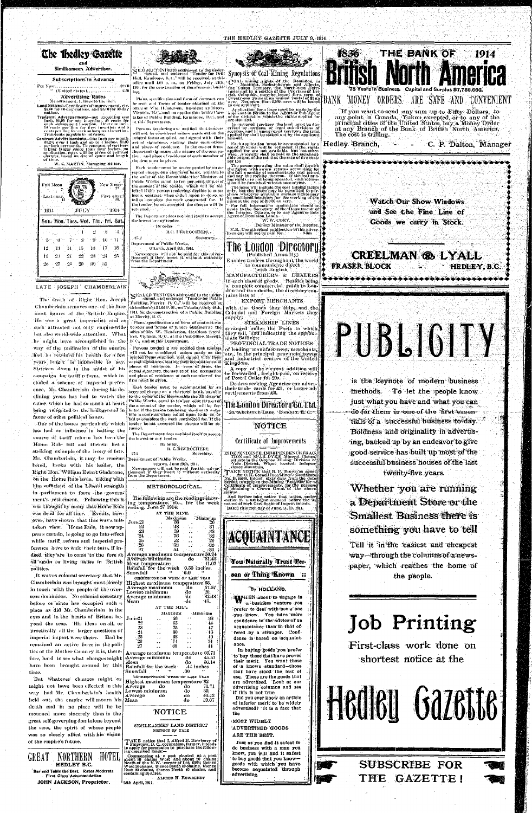#### THE HEDLEY GAZETTE JULY 9, 1914

# **The Thedley Gazette**

#### Similkameen Advertiser.

#### Subscriptions in Advance

Per Year... (United States), ...................... 2.50 ine.

**Advertising Rates** Measurement, 1, lines to the inch.

Land Notices-Certificates of improvement, etc.<br>\$7.00 for til-day-notices, and \$5.00 for 30-day notices

- Transient Advertisements—not exceeding one inch. \$1.00 for one insertion,  $25$  cents for each subsequent insertion. Over one inch.<br>If cents for the later of the property of the cents in the cents in the cents in cents in
- Contract Advertisements One include the month S1.25, over 1 Inch and up to 4 inches. \$1.00<br>per inch permonth. To constant advertisers<br>miking angre space than in to 1 inches. \$1.00<br>miking angre space than four inches, our

W. C. MARTIN, Managing Editor.



#### LATE JOSEPH CHAMBERLAIN

The death of Right Hon. Joseph. Chamberlain removes one: of the foremost figures of the British Empire. He was a great imperialist and as such attracted not only empire-wide [ but also world-wide attention. What he might have accomplished in the B.C., and at this Department. way of the unification of the empire had he retained his health for a few years longer is impossible to say. Stricken down in the midst of his campaign for tariff reform, which in cluded a scheme of imperial preference, Mr. Chamberlain during his declining years has had to watch the cause, which he had so much at heart favor of other political issues.

One of the issues particularly which has had an influence in halting the course of tariff reform has been the Home Rule bill and therein lies a striking example of the irony of fate. Mr. Chamberlain, it may be remem- Department of Pablic Works, bered, broke with his leader, the Right Hon. William Ewart Gladstone, on the Home Rule issue, taking with him sufficient of the Liberal strength in parliament to force the government's retirement. Following this it was thought by many that Home Rule was dead for all time. Events, however, have shown that this was a mistaken view. Home Rule, it now appears certain, is going to go into effect while tariff reform and imperial preference have to wait their turn, if indeed they are to come to the fore at all again as living issues in British politics. It was as colonial secretary that Mr. Chamberlain was brought most closely in touch with the people of the overseas dominions. No colonial secretary before or since has occupied such a place as did Mr. Chamberlain in the eyes and in the hearts of Britons beyond the seas. His ideas on all, or practically all the larger questions of imperial import were theirs. Had he remained an active force in the polities of the Mother Country it is, therefore, hard to see what changes might have been brought around by this time. But whatever changes might or might not have been effected in this way had Mr. Chamberlain's health held out, the empire will mourn his death and in no place will be be mourned more sincerely than in the great self-governing dominions beyond the seas, the spirit of whose people was so closely allied with his vision of the empire's future.



SEXLED TENDERS addressed to the under-<br>Sex signed, and endorsed "Tender for Drill Hall, Kamloops, B. C." will be received at this office until 4.01 p. m., on Friday, July 21th, ' 1914, for the construction of the aforesaid build-

Plans, specification and form of contract can be seen and forms of tender obtained at the office of Win, Henderson, Resident Architect, Victoria, "B.C., and on application to the Caretaker of Public Building, Kanaloops, B.C., and at this Department.

printed fornis supplied, and signed with their [limself. actual signatures, stating their occupations and places of residence. In the case of firms, the actual signature , the nature of the occupation, and place of residence of each member of the firm must be given.

Each tender must be accompanied by an aceepted cheque on a chartered bank, "payable to the order of the Honourable the Minister of Public Works, equal to ten per cent. (10 p.c) of the amount of the render, which will be forfelted if the person tendering decline to enter into a contract when called upon to do so, or fail to complete the work contracted for. If the tender be not accepted the cheque will be aetuena). J

The Department does not bind itself to accept the lowest or any tender. By order

R.C. DESROCHERS.. Secretary...  $27 - 2$ Denartment of Public Works." Ottawa, April 8th, 1914.



SEALED TENDERS addressed to the under-<br>signed, and endorsed "Tender for Public<br>Building, Merritt, B. C., will be received at this office until 1.00 P.M., on Tuesday, July 28th, 1911, for the construction of a Public Building at Merritt, B. C.

Plans, specification and form of contract can be seen and forms of tender obtained at the office of Mr. W. Henderson, Resident Architect, Victoria, B. C., at the Post Office, Merritt

Persons tendering are notified that tenders will not be considered unless made on the printed forms supplied, and signed with then actual signatures, stating their occupations and places of residence. In case of firms, the actual signature, the nature of "the" occupation and place of residence of each member of the firm müst be given.

Each tender must be accompanied by an accepted cheque on 'a chartered bank, payable to the order of the Honourable the Minister of Public Works, equal to ten per-cent (10 p.e.) of the amount of the render, which will be forbeing relegated to the background in feited if the person tendering decline to enter into a contract when called upon to do so or fail to complete the work contracted for. If the tender be not accepted the cheque will be returned.

The Department does not bind itself to accept the lowest or any tender.

 $-27 - 2$ 

By order. R. C. DESROCHERS. Seerefarv.



Synopsis of Coal Mining Regulations COAL mining rights of the Dominican in<br>the Yukaitoba, Saskatchewan and Alberta,<br>the Yukaitoba, Saskatchewan and Alberta,<br>tories and in a portion of the Province of Bri-<br>tish Columbia, may be leased for a term of<br>its incre

Application for a lease must be made by the<br>applicant in person to the Agent or Sub-Agent<br>of the district in which the rights applied for<br>are situated.

at this Department.<br>Persons tendering are notified that tenders is in surveyed territory the land must be des-<br>Persons tendering are notified that tenders are elections, and in unsurveyed cerritory the tract<br>will not be co

Each application must be accompanied by a<br>fee of \$5 which will be refunded if the rights reputed "for are not available. but not otherwise.<br>wise. A reyalty shall be puid on the merchanishe output of the mile at the rate of five cents ner ton

The person operating the mino shall furnish<br>the Agent with sworn returns accounting for<br>the full quantity of merchantable coal minor<br>and my the reyalty thereon. If the coal min-<br>ing rights are not being operated, such retu

The lease will include the coal mining rights<br>only, but the lesse may be permitted to pur-<br>chase what we call include the coal mining rights<br>only, but the lesse may be permitted repair-<br>be considered necessary for the work

Figure as the internation application should be<br>that to the Socretary of the Department of<br>the Interior, Ottawa, or to any Agent or Sub-<br>Agent of Dominion Lands. W<sup>e</sup>W. CORY.

Deputy Minister of the Interior.<br>N.B.-Unauthorized publication of this adver-<br>Itsement will not be puld for.



to communicate direct with English

MANUFACTURERS & DEALERS in each class of goods. Besides being, a complete commercial, guide to London and its suburbs. the directory contains lists of

EXPORT MERCHANTS

with the Goods they ship, and the Colonial and Foreign Markets they supply:

STEAMSHIP LINES mranged under the Ports to which they sail, and indicating the approximate Sailings:

PROVINCIAL TRADE NOTICES of leading "manufacturers, merchants, $\parallel$ etc., in the principal provincial towns<br>and industrial centres of the United Kingdóm.

A copy of the current addition will<br>be forwarded , freight paid, on receive<br>of Postal Order for 20s.

Dealers seeking Agencies can adver-<br>[heir trade\_cards for £1, or larger advertisements from £3.

The London Directoru Go. Etd.

25, Abchurch Bane, London, E. C.

#### NOTICE

#### Certificate of Improvements

INDEPENDENCE INDEPENDENCE FRACE<br>TION and SPAR DYKE Mineral Claims:<br>strukte in the Osoyos Mining Division of<br>Nato District. Where located: Independent dence Mountain Take Northchill, that R. P. Brown'as agent.<br>To Brown's that R. P. Brown'as agent.<br>No. B. 39378, intend. sixty days from the date.<br>Noreof, to apply to the Mining Recorder for the certificate of 'Improvements, for the purpos And further take notice that action, under<br>section 35, must be commenced before the issuance of such Certaficate of Improvements. Dated this 25th day of June, A. D. 1914. ACQUAINTANCE You Naturally Trust Person or Thing Known :: **By HOLLAND.** WHEN about to engage in a business venture you prefer to deal with some one you know. You have more confidence in the advice of an acquaintance than in that offered by a stranger. Confidence is based on acquaintance. In buying goods you prefer to buy those that have proved their merit. You want those of a known standard-those that have stood the test of use. These are the goods that are advertised. Look at our advertising columns and see



Goods we carry in Stock.

**CREELMAN ® LYALL FRASER BLOCK HEDLEY B.C.** 

PUBUOLIN

is the keynote of modern business methods. To let the people know. just what you have and what you can do for them is one of the first essentials of a successful business to day. Boldness and originality in advertising, backed up by an endeavor to give good service has built up most of the successful business houses of the last

# 

HOTEL GREAT NORTHERN HEDLEY B.C. Bar and Table the Best. Rates Moderate First Class Accommodation JOHN JACKSON, Proprietor.



if this is not true. Did you ever know an article of inferior merit to be widely advertised? It is a fact that the

MOST WIDELY

ADVERTISED GOODS ARE THE BEST.

Just as you find it safest to do business with a man you know, you will find it safest to buy goods that you knowgoods with which you have become acquainted through advertising.

twenty-flve years.

Whether you are running a Department Store or the **Smallest Business there is** something you have to tell Tell it in the easiest and cheapest

way—through the columns of a newspaper, which reaches the home of the people.

# **Job Printing**

First-class work done on shortest notice at the

Hedley Gazette

**SUBSCRIBE FOR** 

THE GAZETTE!